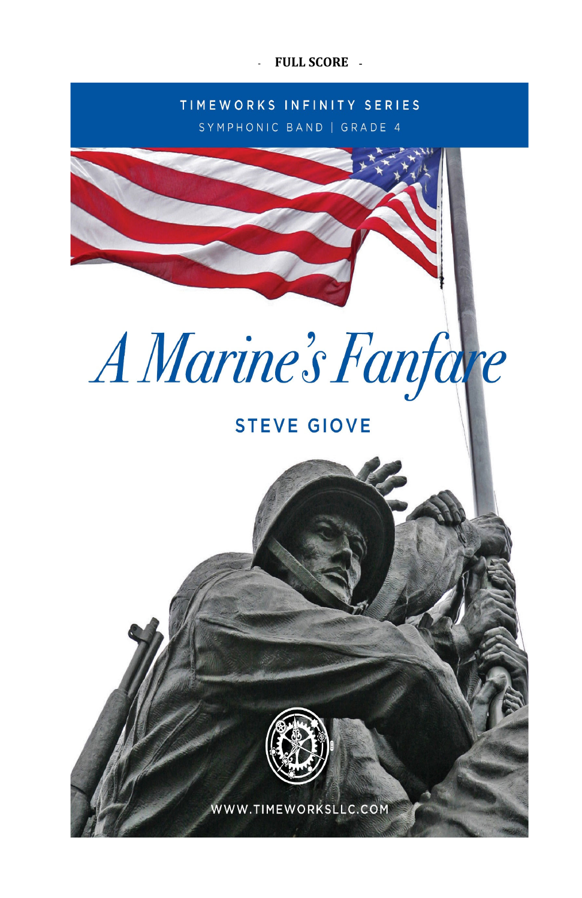#### - **FULL SCORE -**

TIMEWORKS INFINITY SERIES SYMPHONIC BAND | GRADE 4

# A Marine's Fanfare

#### **STEVE GIOVE**

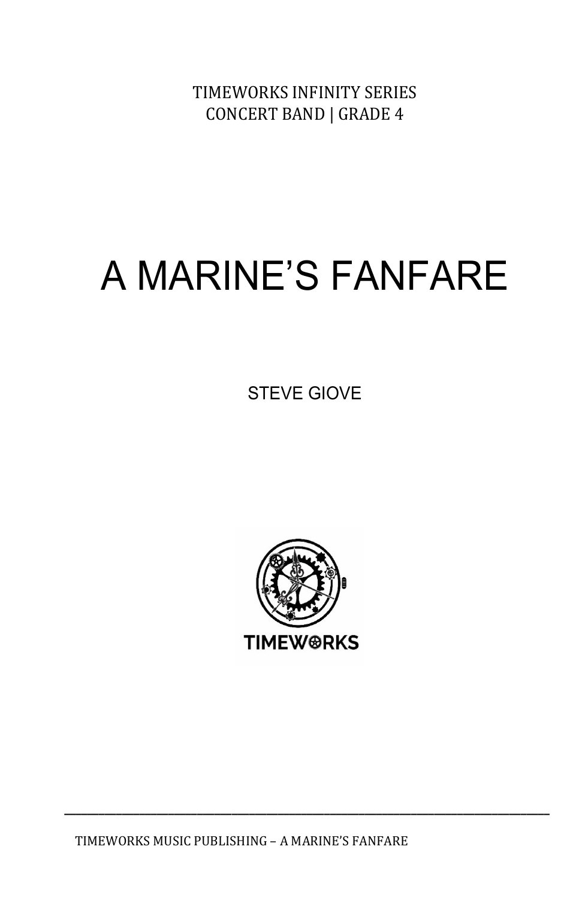#### TIMEWORKS MUSIC PUBLISHING – A MARINE'S FANFARE

TIMEWORKS INFINITY SERIES CONCERT BAND | GRADE 4

## A MARINE'S FANFARE

STEVE GIOVE

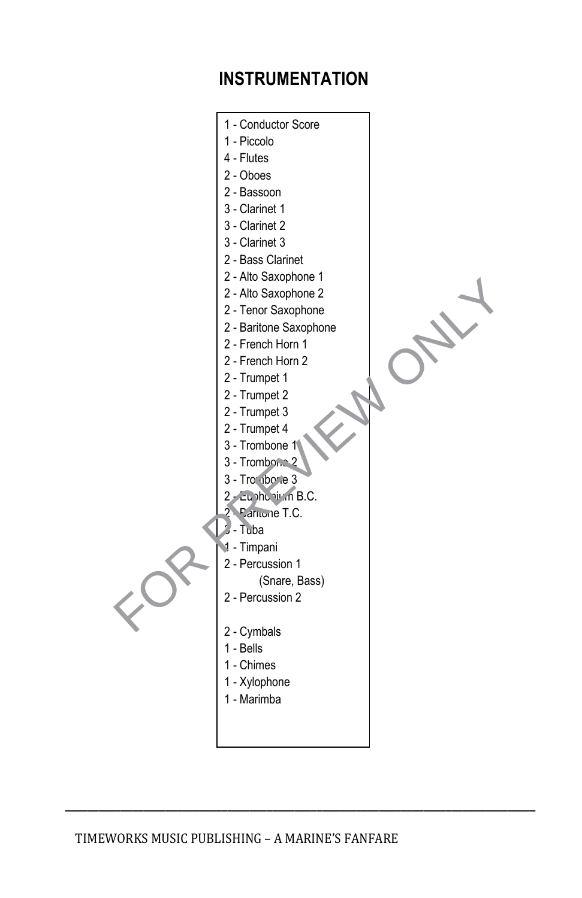#### TIMEWORKS MUSIC PUBLISHING – A MARINE'S FANFARE



- 1 Chimes
- 1 Xylophone

1 - Marimba

#### **INSTRUMENTATION**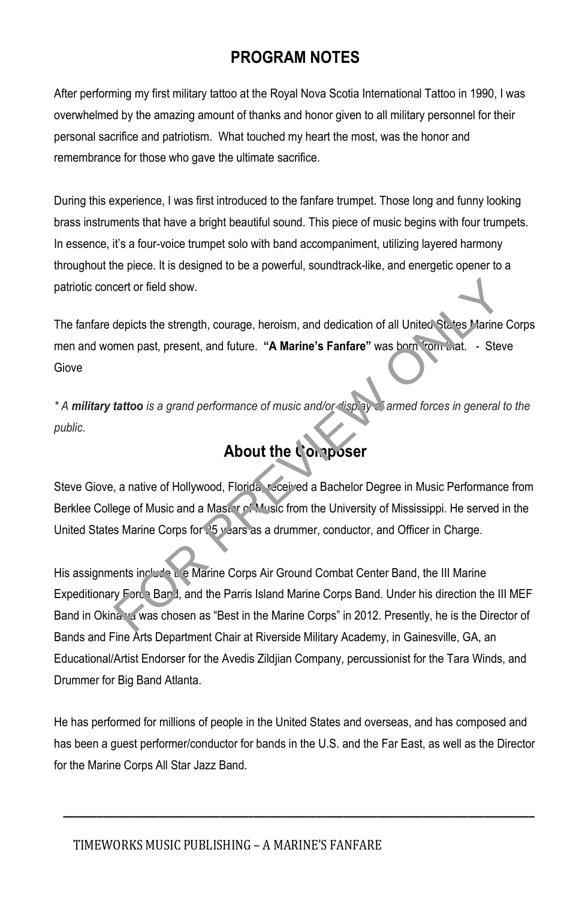#### TIMEWORKS MUSIC PUBLISHING – A MARINE'S FANFARE

#### **PROGRAM NOTES**

After performing my first military tattoo at the Royal Nova Scotia International Tattoo in 1990, I was overwhelmed by the amazing amount of thanks and honor given to all military personnel for their personal sacrifice and patriotism. What touched my heart the most, was the honor and remembrance for those who gave the ultimate sacrifice.

The fanfare depicts the strength, courage, heroism, and dedication of all United States Marine Corps men and women past, present, and future. "A Marine's Fanfare" was born from that. - Steve Giove

During this experience, I was first introduced to the fanfare trumpet. Those long and funny looking brass instruments that have a bright beautiful sound. This piece of music begins with four trumpets. In essence, it's a four-voice trumpet solo with band accompaniment, utilizing layered harmony throughout the piece. It is designed to be a powerful, soundtrack-like, and energetic opener to a patriotic concert or field show.

*\* A military tattoo is a grand performance of music and/or display of armed forces in general to the public.* 

### About the Composer

Steve Giove, a native of Hollywood, Florida, received a Bachelor Degree in Music Performance from Berklee College of Music and a Masure Music from the University of Mississippi. He served in the United States Marine Corps for 25 years as a drummer, conductor, and Officer in Charge.

His assignments include the Marine Corps Air Ground Combat Center Band, the III Marine Expeditionary Force Band, and the Parris Island Marine Corps Band. Under his direction the III MEF Band in Okina, a was chosen as "Best in the Marine Corps" in 2012. Presently, he is the Director of Bands and Fine Arts Department Chair at Riverside Military Academy, in Gainesville, GA, an Educational/Artist Endorser for the Avedis Zildjian Company, percussionist for the Tara Winds, and Centre of field show.<br>
depicts the strength, courage, heroism, and dedication of all United States Marine<br>
men past, present, and future. "A **Marine's Fanfare'** was born form that. - Ster<br>
dattoo is a grand performance of

Drummer for Big Band Atlanta.

He has performed for millions of people in the United States and overseas, and has composed and has been a guest performer/conductor for bands in the U.S. and the Far East, as well as the Director for the Marine Corps All Star Jazz Band.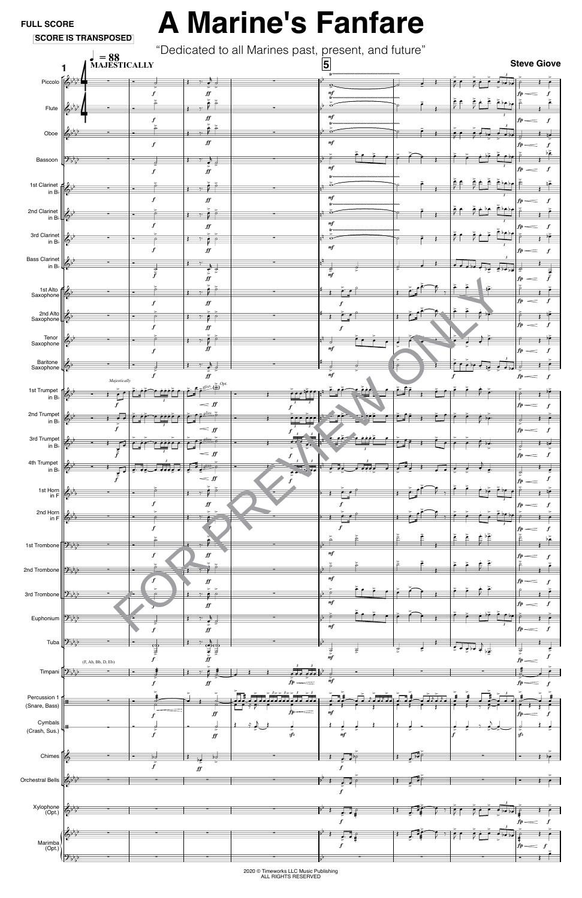## **A Marine's Fanfare**

**FULL SCORE**



2020 © Timeworks LLC Music Publishing

|                                             | <b>SCORE IS TRANSPOSED</b>                        |                                                                             |                                                      |                                                |                      |                              |                                                                                                                        |
|---------------------------------------------|---------------------------------------------------|-----------------------------------------------------------------------------|------------------------------------------------------|------------------------------------------------|----------------------|------------------------------|------------------------------------------------------------------------------------------------------------------------|
|                                             | $\bigcup_{M A J E STICALLY}$                      |                                                                             | "Dedicated to all Marines past, present, and future" | 5                                              |                      |                              | <b>Steve Giove</b>                                                                                                     |
| Piccolo $\sqrt{\left(\frac{1}{2}\right)^2}$ |                                                   |                                                                             |                                                      |                                                |                      |                              |                                                                                                                        |
|                                             |                                                   | .ff                                                                         |                                                      | mf<br>tr                                       |                      |                              | .fp                                                                                                                    |
| Flute<br>க்⊭                                |                                                   | ₹                                                                           |                                                      |                                                |                      |                              |                                                                                                                        |
|                                             |                                                   | $f\!f$                                                                      |                                                      | m f                                            |                      |                              | $fp$ —<br>$\boldsymbol{f}$                                                                                             |
| Oboe<br>$\mathbb{C}^{\mathbb{P}^1}$         |                                                   | $\ddot{\hat{z}}$<br>$\frac{1}{\mathbf{P}}$                                  |                                                      | ħ<br>$\rightarrow$                             |                      |                              |                                                                                                                        |
|                                             |                                                   | $f\!f$                                                                      |                                                      | $\it mf$                                       |                      |                              | fр                                                                                                                     |
|                                             |                                                   |                                                                             |                                                      |                                                |                      |                              | b≧                                                                                                                     |
| $\mathbf{P}^{\cdot}$<br>Bassoon             |                                                   | ÷                                                                           |                                                      |                                                |                      |                              |                                                                                                                        |
|                                             |                                                   | f f                                                                         |                                                      | mf<br>tı                                       |                      |                              | $\boldsymbol{fp}$<br>f<br>$\hspace{.05cm} \rule{.08cm}{.04cm} \hspace{.05cm} \hspace{.05cm} \hspace{.05cm} \Leftarrow$ |
| 1st Clarinet<br>$\frac{1}{2}$               |                                                   |                                                                             |                                                      | $\tilde{\mathbf{o}}$                           |                      |                              |                                                                                                                        |
| in $Bb$                                     |                                                   | $f\!f$                                                                      |                                                      | m f                                            |                      |                              | ťп                                                                                                                     |
| 2nd Clarinet                                |                                                   |                                                                             |                                                      | tr                                             |                      |                              |                                                                                                                        |
| 奋<br>in $Bb$                                |                                                   |                                                                             |                                                      | $\mathbf{\sigma}$                              |                      |                              |                                                                                                                        |
|                                             |                                                   | ff                                                                          |                                                      | mf                                             |                      |                              |                                                                                                                        |
| 3rd Clarinet<br>る<br>in $Bb$                |                                                   | ∹                                                                           |                                                      | $\overline{\mathbf{r}}$                        |                      |                              |                                                                                                                        |
|                                             |                                                   | ff                                                                          |                                                      | $\it mf$                                       |                      |                              | $\int p \sim$<br>$\int$                                                                                                |
| Bass Clarinet                               |                                                   | ∹                                                                           |                                                      |                                                |                      |                              |                                                                                                                        |
|                                             |                                                   | रेड़ें<br>ff                                                                |                                                      | $\frac{1}{2}$                                  |                      | इन्न्द्री                    |                                                                                                                        |
|                                             |                                                   |                                                                             |                                                      |                                                |                      |                              | $ $ fp<br>=                                                                                                            |
| 1st Alto<br>  Saxophone<br>.¶≰              |                                                   |                                                                             |                                                      |                                                |                      |                              |                                                                                                                        |
|                                             |                                                   | $f\!f$                                                                      |                                                      |                                                |                      |                              | $\boldsymbol{fp}$<br>$\overline{\phantom{a}}$<br>$\boldsymbol{f}$                                                      |
| 2nd Alto<br>$\epsilon$                      |                                                   | $\geq$<br>$\rightarrow$ $\bullet$ $\circ$<br>⇉                              |                                                      |                                                |                      |                              |                                                                                                                        |
|                                             |                                                   | .ff                                                                         |                                                      |                                                |                      |                              | $ f p $ $\leq$<br>$\bar{f}$                                                                                            |
| Tenor<br>Saxophone<br>倭                     |                                                   | 799<br>⇉                                                                    |                                                      |                                                |                      |                              |                                                                                                                        |
|                                             |                                                   | $\dot{f}$                                                                   |                                                      | m f                                            |                      |                              | $ $ fp $\frac{1}{\sqrt{2}}$<br>$\boldsymbol{f}$                                                                        |
| Baritone                                    |                                                   |                                                                             |                                                      |                                                | E                    |                              |                                                                                                                        |
|                                             |                                                   | ff                                                                          |                                                      | $\frac{2}{m}f$                                 |                      |                              | $fp \equiv$<br>$\boldsymbol{f}$                                                                                        |
|                                             | Majestically                                      | gliss. $\left(\frac{\geq}{\mathcal{L}}\right)^{Opt.}$                       |                                                      |                                                |                      |                              |                                                                                                                        |
| 1st Trumpet<br>in B<br>€                    |                                                   |                                                                             |                                                      |                                                |                      |                              | 20                                                                                                                     |
|                                             |                                                   | $\mathcal{f}$                                                               | $\boldsymbol{\beta}$                                 |                                                |                      |                              | $ f_p $                                                                                                                |
| 2nd Trumpet<br>る<br>in B <sub>b</sub>       |                                                   | $gliss.$ $\geq$<br>$\overline{\phantom{a}}$                                 | $\epsilon$ ee eee $\mathbb{F}$                       | $\leftarrow$<br>$\overline{\phantom{a}}$<br>•− |                      |                              |                                                                                                                        |
|                                             |                                                   | $\leq$ ff                                                                   | $\boldsymbol{\beta}$                                 |                                                |                      |                              | $ $ fp $\!=$<br>$\boldsymbol{f}$                                                                                       |
| 3rd Trumpet<br>$\rightarrow$                |                                                   | -0                                                                          | 围<br>€                                               | H                                              |                      | $\overline{1}$ be:           | ₩                                                                                                                      |
| $\overline{\mathsf{in}}$ B                  |                                                   | $\mathcal{f}$                                                               |                                                      |                                                |                      |                              | $\boldsymbol{f}$<br> fp                                                                                                |
| 4th Trumpet<br>$\overline{\mathbb{C}}$      |                                                   | خخناها                                                                      | रन, ज़                                               | $\overline{\phantom{a}}$                       |                      |                              |                                                                                                                        |
| in $Bb$                                     | $\overline{\phantom{a}}$                          | $\mathcal{f}$                                                               |                                                      |                                                |                      |                              |                                                                                                                        |
|                                             |                                                   |                                                                             |                                                      |                                                |                      |                              | $ $ fp                                                                                                                 |
| 1st Horn<br>in F<br>$\frac{2}{6}$           |                                                   | $\mathfrak{a}$ $\epsilon$                                                   |                                                      |                                                |                      |                              | ≄                                                                                                                      |
|                                             |                                                   | $f\!f$<br>$>$ >                                                             |                                                      |                                                |                      |                              | $ f_p $<br>f                                                                                                           |
| 2nd Horn<br>in $F$<br>6 <sup>2</sup>        |                                                   | ₹<br>$\overline{r}$                                                         |                                                      |                                                |                      |                              |                                                                                                                        |
|                                             |                                                   |                                                                             |                                                      | f                                              |                      |                              | $\boldsymbol{fp}$<br>$\,<$                                                                                             |
| 1st Trombone                                |                                                   | →<br>$\cdot$ $\cdot$                                                        |                                                      | $\geq$<br>≅                                    | $\check{\mathbb{P}}$ | $\hat{F} \subseteq$          | $\check{\mathsf{P}}$<br>$b_{\pm}$                                                                                      |
|                                             | f                                                 | $f\!f$                                                                      |                                                      | $\it mf$                                       |                      |                              |                                                                                                                        |
|                                             |                                                   | $\Rightarrow$                                                               |                                                      | ≿                                              |                      | $\tilde{\tilde{\mathbf{r}}}$ | $ $ fp $\!=$<br>f<br>$\tilde{\tilde{P}}$                                                                               |
| 2nd Trombone <del>Distp</del>               |                                                   | $\sqrt{2}$<br>≢                                                             |                                                      |                                                |                      |                              |                                                                                                                        |
|                                             | $\boldsymbol{f}$                                  | $f\!f$<br>$\geq$<br>$\geq$                                                  |                                                      | $\it mf$                                       |                      |                              | $\int$ fp $\int$                                                                                                       |
| 3rd Trombone                                |                                                   | $\theta$ $\epsilon$<br>₹                                                    |                                                      |                                                |                      |                              |                                                                                                                        |
|                                             |                                                   | ff                                                                          |                                                      | mf                                             |                      |                              | f p <br>$\boldsymbol{f}$                                                                                               |
| Euphonium 3                                 |                                                   | ⇉<br>$\cdot$                                                                |                                                      | $\overline{\phantom{a}}$                       |                      |                              |                                                                                                                        |
|                                             |                                                   | $\begin{array}{c}\n\hline\n\downarrow \\ \downarrow \\ \hline\n\end{array}$ |                                                      | m f                                            |                      |                              | $fp$ —<br>$\boldsymbol{f}$                                                                                             |
| Tuba $\frac{1}{2}$                          |                                                   | ⊟≥                                                                          |                                                      |                                                |                      |                              |                                                                                                                        |
|                                             | द्मुष                                             |                                                                             |                                                      | $\overrightarrow{g}$<br>ब्रै                   |                      | ₹<br>ьŧ                      | 헟                                                                                                                      |
|                                             | $(F$ Ab $B$ <sub>b</sub> $D$ $F$ <sub>b</sub> $)$ |                                                                             |                                                      |                                                |                      |                              | $fp -$                                                                                                                 |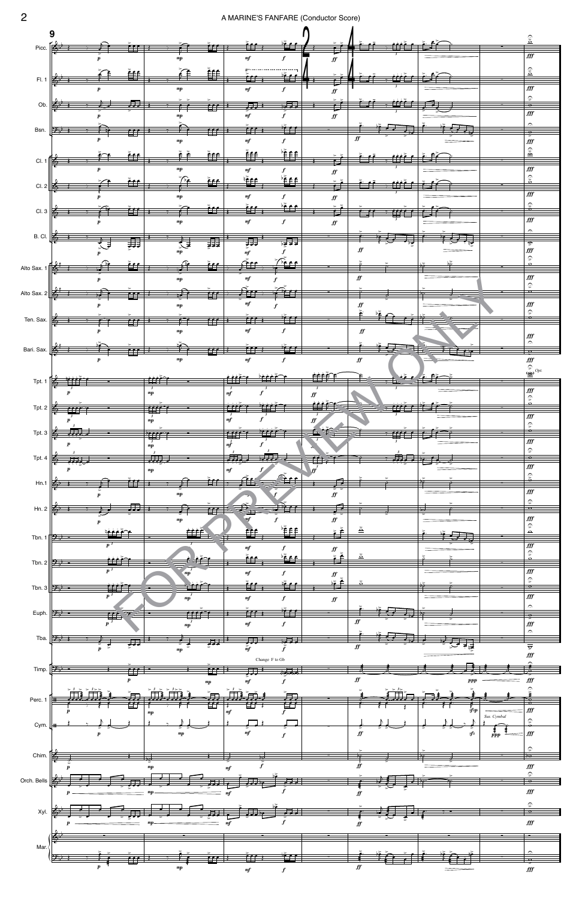